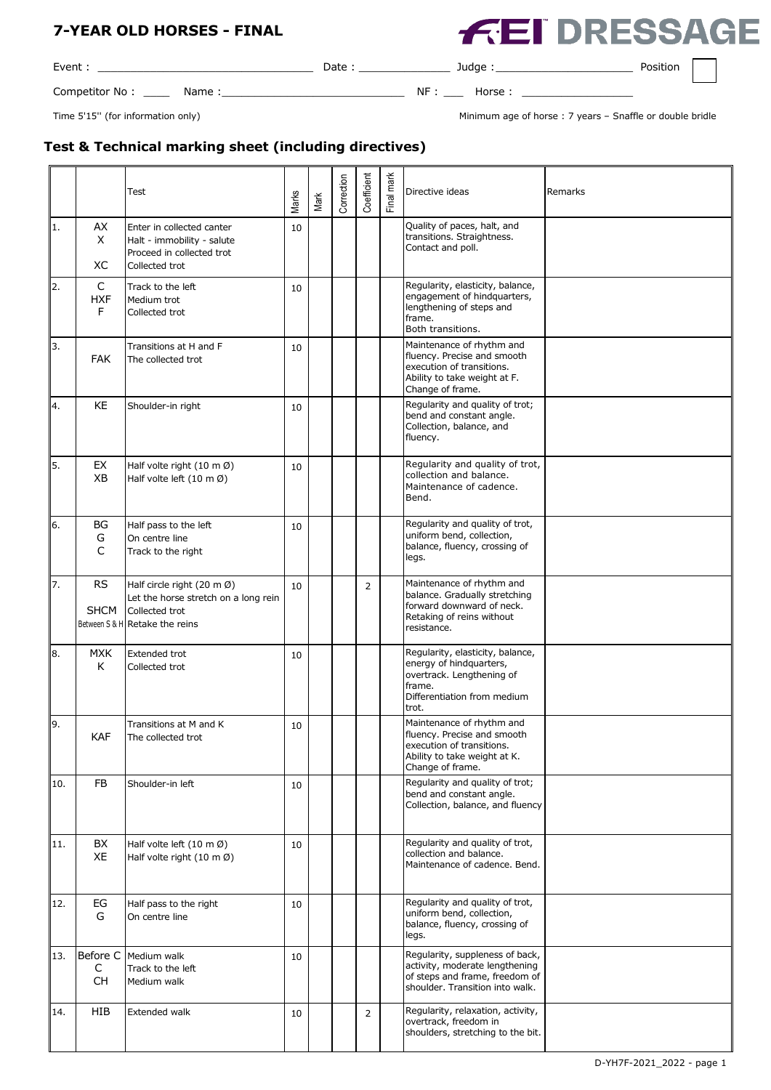**EI DRESSAGE** 

Event : \_\_\_\_\_\_\_\_\_\_\_\_\_\_\_\_\_\_\_\_\_\_\_\_\_\_\_\_\_\_\_\_\_ Date : \_\_\_\_\_\_\_\_\_\_\_\_\_\_ Judge :\_\_\_\_\_\_\_\_\_\_\_\_\_\_\_\_\_\_\_\_\_ Position

Competitor No : \_\_\_\_ Name :\_\_\_\_\_\_\_\_\_\_\_\_\_\_\_\_\_\_\_\_\_\_\_\_\_\_\_\_ NF : \_\_\_ Horse : \_\_\_\_\_\_\_\_\_\_\_\_\_\_\_\_\_

Time 5'15" (for information only) and the state of the state of the state of the state of the state of the state of the state of double bridle

# **Test & Technical marking sheet (including directives)**

|     |                            | <b>Test</b>                                                                                                                       | Marks | Mark | Correction | Coefficient    | Final mark | Directive ideas                                                                                                                            | Remarks |
|-----|----------------------------|-----------------------------------------------------------------------------------------------------------------------------------|-------|------|------------|----------------|------------|--------------------------------------------------------------------------------------------------------------------------------------------|---------|
| 11. | AX<br>X<br>ХC              | Enter in collected canter<br>Halt - immobility - salute<br>Proceed in collected trot<br>Collected trot                            | 10    |      |            |                |            | Quality of paces, halt, and<br>transitions. Straightness.<br>Contact and poll.                                                             |         |
| 12. | C<br><b>HXF</b><br>F       | Track to the left<br>Medium trot<br>Collected trot                                                                                | 10    |      |            |                |            | Regularity, elasticity, balance,<br>engagement of hindquarters,<br>lengthening of steps and<br>frame.<br>Both transitions.                 |         |
| 3.  | <b>FAK</b>                 | Transitions at H and F<br>The collected trot                                                                                      | 10    |      |            |                |            | Maintenance of rhythm and<br>fluency. Precise and smooth<br>execution of transitions.<br>Ability to take weight at F.<br>Change of frame.  |         |
| 14. | <b>KE</b>                  | Shoulder-in right                                                                                                                 | 10    |      |            |                |            | Regularity and quality of trot;<br>bend and constant angle.<br>Collection, balance, and<br>fluency.                                        |         |
| I5. | EX<br>XB                   | Half volte right (10 m Ø)<br>Half volte left $(10 \text{ m }\varnothing)$                                                         | 10    |      |            |                |            | Regularity and quality of trot,<br>collection and balance.<br>Maintenance of cadence.<br>Bend.                                             |         |
| 6.  | BG<br>G<br>$\mathsf{C}$    | Half pass to the left<br>On centre line<br>Track to the right                                                                     | 10    |      |            |                |            | Regularity and quality of trot,<br>uniform bend, collection,<br>balance, fluency, crossing of<br>legs.                                     |         |
| 17. | <b>RS</b><br><b>SHCM</b>   | Half circle right $(20 \text{ m }\%)$<br>Let the horse stretch on a long rein<br>Collected trot<br>Between S & H Retake the reins | 10    |      |            | $\overline{2}$ |            | Maintenance of rhythm and<br>balance. Gradually stretching<br>forward downward of neck.<br>Retaking of reins without<br>resistance.        |         |
| 8.  | <b>MXK</b><br>К            | <b>Extended trot</b><br>Collected trot                                                                                            | 10    |      |            |                |            | Regularity, elasticity, balance,<br>energy of hindquarters,<br>overtrack. Lengthening of<br>frame.<br>Differentiation from medium<br>trot. |         |
| 19. | <b>KAF</b>                 | Transitions at M and K<br>The collected trot                                                                                      | 10    |      |            |                |            | Maintenance of rhythm and<br>fluency. Precise and smooth<br>execution of transitions.<br>Ability to take weight at K.<br>Change of frame.  |         |
| 10. | <b>FB</b>                  | Shoulder-in left                                                                                                                  | 10    |      |            |                |            | Regularity and quality of trot;<br>bend and constant angle.<br>Collection, balance, and fluency                                            |         |
| 11. | BX<br>XE                   | Half volte left (10 m Ø)<br>Half volte right $(10 \text{ m }\emptyset)$                                                           | 10    |      |            |                |            | Regularity and quality of trot,<br>collection and balance.<br>Maintenance of cadence. Bend.                                                |         |
| 12. | EG<br>G                    | Half pass to the right<br>On centre line                                                                                          | 10    |      |            |                |            | Regularity and quality of trot,<br>uniform bend, collection,<br>balance, fluency, crossing of<br>legs.                                     |         |
| 13. | Before C<br>C<br><b>CH</b> | Medium walk<br>Track to the left<br>Medium walk                                                                                   | 10    |      |            |                |            | Regularity, suppleness of back,<br>activity, moderate lengthening<br>of steps and frame, freedom of<br>shoulder. Transition into walk.     |         |
| 14. | HIB                        | Extended walk                                                                                                                     | 10    |      |            | $\overline{2}$ |            | Regularity, relaxation, activity,<br>overtrack, freedom in<br>shoulders, stretching to the bit.                                            |         |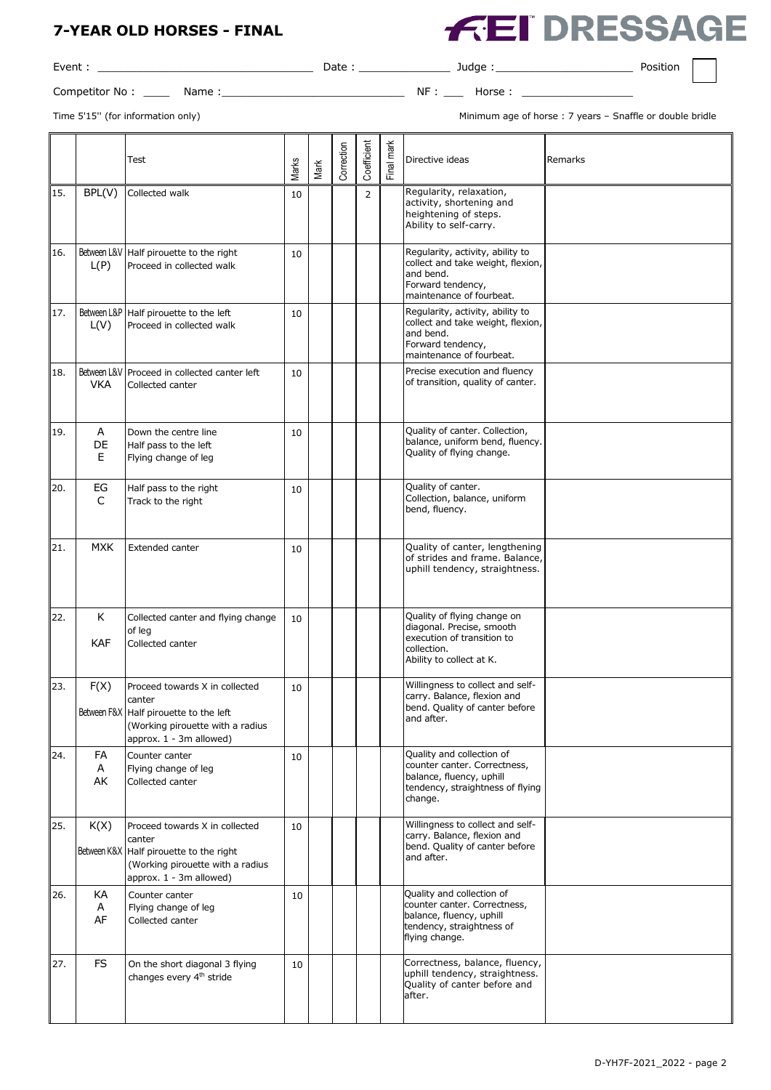Event : \_\_\_\_\_\_\_\_\_\_\_\_\_\_\_\_\_\_\_\_\_\_\_\_\_\_\_\_\_\_\_\_\_ Date : \_\_\_\_\_\_\_\_\_\_\_\_\_\_ Judge :\_\_\_\_\_\_\_\_\_\_\_\_\_\_\_\_\_\_\_\_\_ Position

Competitor No : \_\_\_\_ Name :\_\_\_\_\_\_\_\_\_\_\_\_\_\_\_\_\_\_\_\_\_\_\_\_\_\_\_\_ NF : \_\_\_ Horse : \_\_\_\_\_\_\_\_\_\_\_\_\_\_\_\_\_

Time 5'15'' (for information only) Minimum age of horse : 7 years – Snaffle or double bridle

EI DRESSAGE

|     |                 | Test                                                                                                                                               | Marks | Mark | Correction | Coefficient    | Final mark | Directive ideas                                                                                                                      | Remarks |
|-----|-----------------|----------------------------------------------------------------------------------------------------------------------------------------------------|-------|------|------------|----------------|------------|--------------------------------------------------------------------------------------------------------------------------------------|---------|
| 15. | BPL(V)          | Collected walk                                                                                                                                     | 10    |      |            | $\overline{2}$ |            | Regularity, relaxation,<br>activity, shortening and<br>heightening of steps.<br>Ability to self-carry.                               |         |
| 16. | L(P)            | Between L&V   Half pirouette to the right<br>Proceed in collected walk                                                                             | 10    |      |            |                |            | Regularity, activity, ability to<br>collect and take weight, flexion,<br>and bend.<br>Forward tendency,<br>maintenance of fourbeat.  |         |
| 17. | L(V)            | Between L&P   Half pirouette to the left<br>Proceed in collected walk                                                                              | 10    |      |            |                |            | Regularity, activity, ability to<br>collect and take weight, flexion,<br>and bend.<br>Forward tendency,<br>maintenance of fourbeat.  |         |
| 18. | <b>VKA</b>      | Between L&V Proceed in collected canter left<br>Collected canter                                                                                   | 10    |      |            |                |            | Precise execution and fluency<br>of transition, quality of canter.                                                                   |         |
| 19. | Α<br>DE<br>E.   | Down the centre line<br>Half pass to the left<br>Flying change of leg                                                                              | 10    |      |            |                |            | Quality of canter. Collection,<br>balance, uniform bend, fluency.<br>Quality of flying change.                                       |         |
| 20. | EG<br>C         | Half pass to the right<br>Track to the right                                                                                                       | 10    |      |            |                |            | Quality of canter.<br>Collection, balance, uniform<br>bend, fluency.                                                                 |         |
| 21. | <b>MXK</b>      | Extended canter                                                                                                                                    | 10    |      |            |                |            | Quality of canter, lengthening<br>of strides and frame. Balance,<br>uphill tendency, straightness.                                   |         |
| 22. | K<br><b>KAF</b> | Collected canter and flying change<br>of leg<br>Collected canter                                                                                   | 10    |      |            |                |            | Quality of flying change on<br>diagonal. Precise, smooth<br>execution of transition to<br>collection.<br>Ability to collect at K.    |         |
| 23. | F(X)            | Proceed towards X in collected<br>canter<br>Between F&X Half pirouette to the left<br>(Working pirouette with a radius<br>approx. 1 - 3m allowed)  | 10    |      |            |                |            | Willingness to collect and self-<br>carry. Balance, flexion and<br>bend. Quality of canter before<br>and after.                      |         |
| 24. | FA<br>Α<br>AK   | Counter canter<br>Flying change of leg<br>Collected canter                                                                                         | 10    |      |            |                |            | Quality and collection of<br>counter canter. Correctness,<br>balance, fluency, uphill<br>tendency, straightness of flying<br>change. |         |
| 25. | K(X)            | Proceed towards X in collected<br>canter<br>Between K&X Half pirouette to the right<br>(Working pirouette with a radius<br>approx. 1 - 3m allowed) | 10    |      |            |                |            | Willingness to collect and self-<br>carry. Balance, flexion and<br>bend. Quality of canter before<br>and after.                      |         |
| 26. | KA<br>Α<br>AF   | Counter canter<br>Flying change of leg<br>Collected canter                                                                                         | 10    |      |            |                |            | Quality and collection of<br>counter canter. Correctness,<br>balance, fluency, uphill<br>tendency, straightness of<br>flying change. |         |
| 27. | <b>FS</b>       | On the short diagonal 3 flying<br>changes every 4 <sup>th</sup> stride                                                                             | 10    |      |            |                |            | Correctness, balance, fluency,<br>uphill tendency, straightness.<br>Quality of canter before and<br>after.                           |         |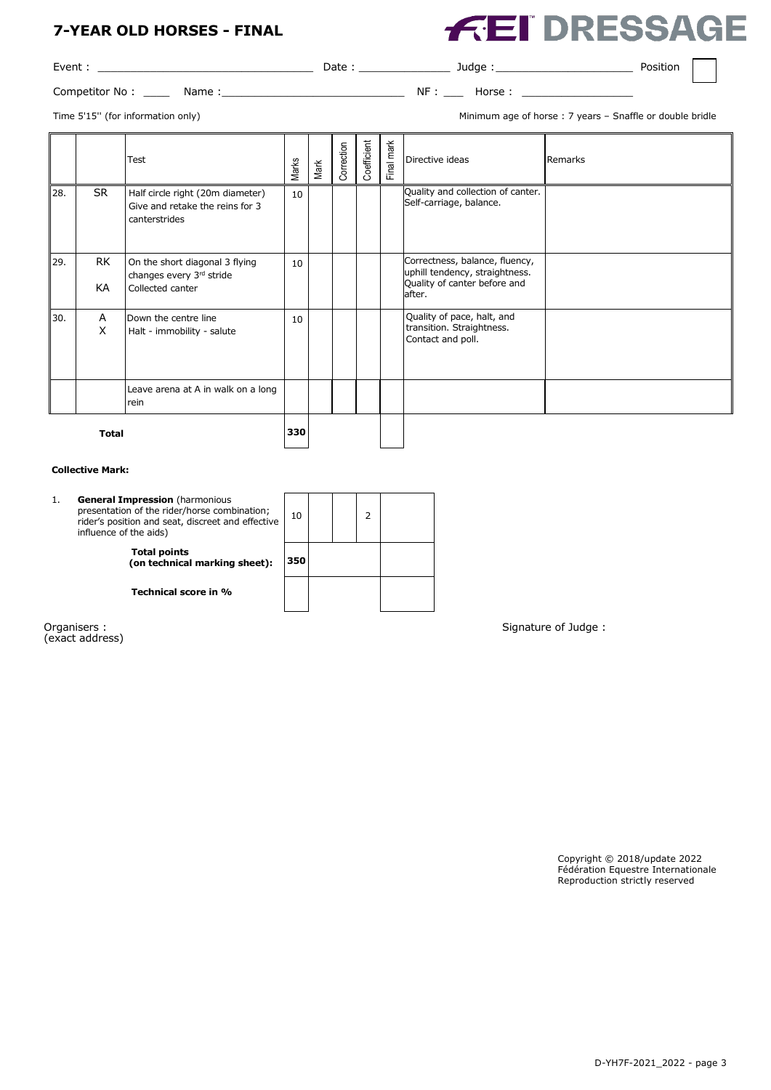**FEI DRESSAGE** 

| Event          |      | Date |    | Judge      | Position |  |
|----------------|------|------|----|------------|----------|--|
| Competitor No: | Name |      | ΝF | Horse<br>. |          |  |

 $\overline{1}$ 

Time 5'15'' (for information only) Minimum age of horse : 7 years – Snaffle or double bridle

|              |                 | Test                                                                                 | Marks | Mark | Correction | Coefficient | Final mark | Directive ideas                                                                                            | Remarks |
|--------------|-----------------|--------------------------------------------------------------------------------------|-------|------|------------|-------------|------------|------------------------------------------------------------------------------------------------------------|---------|
| 28.          | <b>SR</b>       | Half circle right (20m diameter)<br>Give and retake the reins for 3<br>canterstrides | 10    |      |            |             |            | Quality and collection of canter.<br>Self-carriage, balance.                                               |         |
| 29.          | <b>RK</b><br>KA | On the short diagonal 3 flying<br>changes every 3rd stride<br>Collected canter       | 10    |      |            |             |            | Correctness, balance, fluency,<br>uphill tendency, straightness.<br>Quality of canter before and<br>after. |         |
| 30.          | Α<br>X          | Down the centre line<br>Halt - immobility - salute                                   | 10    |      |            |             |            | Quality of pace, halt, and<br>transition. Straightness.<br>Contact and poll.                               |         |
|              |                 | Leave arena at A in walk on a long<br>rein                                           |       |      |            |             |            |                                                                                                            |         |
| <b>Total</b> |                 |                                                                                      | 330   |      |            |             |            |                                                                                                            |         |

#### **Collective Mark:**

| <b>Total points</b>                  |  |
|--------------------------------------|--|
| 350<br>(on technical marking sheet): |  |
| Technical score in %                 |  |

(exact address)

Organisers : Signature of Judge : Signature of Judge : Signature of Judge : Signature of Judge :

Copyright © 2018/update 2022 Fédération Equestre Internationale Reproduction strictly reserved